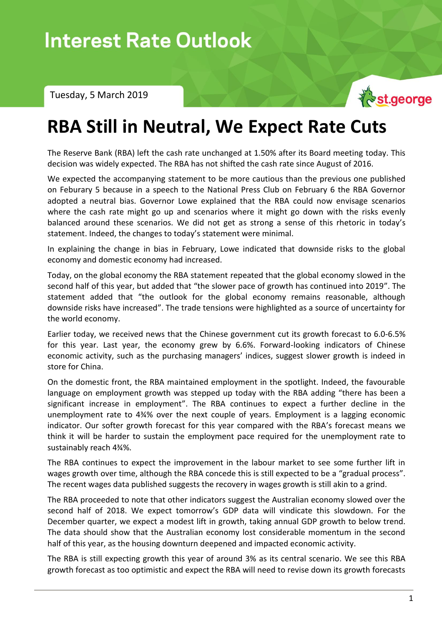Interest Rate Outlook – Tuesday, 5 March 2019

Tuesday, 5 March 2019



## **RBA Still in Neutral, We Expect Rate Cuts**

The Reserve Bank (RBA) left the cash rate unchanged at 1.50% after its Board meeting today. This decision was widely expected. The RBA has not shifted the cash rate since August of 2016.

We expected the accompanying statement to be more cautious than the previous one published on Feburary 5 because in a speech to the National Press Club on February 6 the RBA Governor adopted a neutral bias. Governor Lowe explained that the RBA could now envisage scenarios where the cash rate might go up and scenarios where it might go down with the risks evenly balanced around these scenarios. We did not get as strong a sense of this rhetoric in today's statement. Indeed, the changes to today's statement were minimal.

In explaining the change in bias in February, Lowe indicated that downside risks to the global economy and domestic economy had increased.

Today, on the global economy the RBA statement repeated that the global economy slowed in the second half of this year, but added that "the slower pace of growth has continued into 2019". The statement added that "the outlook for the global economy remains reasonable, although downside risks have increased". The trade tensions were highlighted as a source of uncertainty for the world economy.

Earlier today, we received news that the Chinese government cut its growth forecast to 6.0-6.5% for this year. Last year, the economy grew by 6.6%. Forward-looking indicators of Chinese economic activity, such as the purchasing managers' indices, suggest slower growth is indeed in store for China.

On the domestic front, the RBA maintained employment in the spotlight. Indeed, the favourable language on employment growth was stepped up today with the RBA adding "there has been a significant increase in employment". The RBA continues to expect a further decline in the unemployment rate to 4¾% over the next couple of years. Employment is a lagging economic indicator. Our softer growth forecast for this year compared with the RBA's forecast means we think it will be harder to sustain the employment pace required for the unemployment rate to sustainably reach 4¾%.

The RBA continues to expect the improvement in the labour market to see some further lift in wages growth over time, although the RBA concede this is still expected to be a "gradual process". The recent wages data published suggests the recovery in wages growth is still akin to a grind.

The RBA proceeded to note that other indicators suggest the Australian economy slowed over the second half of 2018. We expect tomorrow's GDP data will vindicate this slowdown. For the December quarter, we expect a modest lift in growth, taking annual GDP growth to below trend. The data should show that the Australian economy lost considerable momentum in the second half of this year, as the housing downturn deepened and impacted economic activity.

The RBA is still expecting growth this year of around 3% as its central scenario. We see this RBA growth forecast as too optimistic and expect the RBA will need to revise down its growth forecasts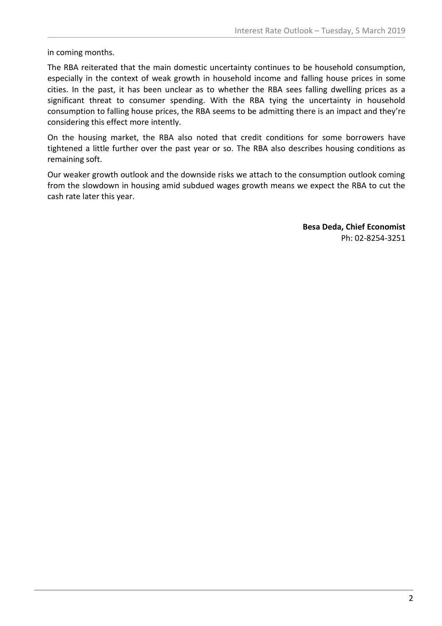in coming months.

The RBA reiterated that the main domestic uncertainty continues to be household consumption, especially in the context of weak growth in household income and falling house prices in some cities. In the past, it has been unclear as to whether the RBA sees falling dwelling prices as a significant threat to consumer spending. With the RBA tying the uncertainty in household consumption to falling house prices, the RBA seems to be admitting there is an impact and they're considering this effect more intently.

On the housing market, the RBA also noted that credit conditions for some borrowers have tightened a little further over the past year or so. The RBA also describes housing conditions as remaining soft.

Our weaker growth outlook and the downside risks we attach to the consumption outlook coming from the slowdown in housing amid subdued wages growth means we expect the RBA to cut the cash rate later this year.

> **Besa Deda, Chief Economist** Ph: 02-8254-3251